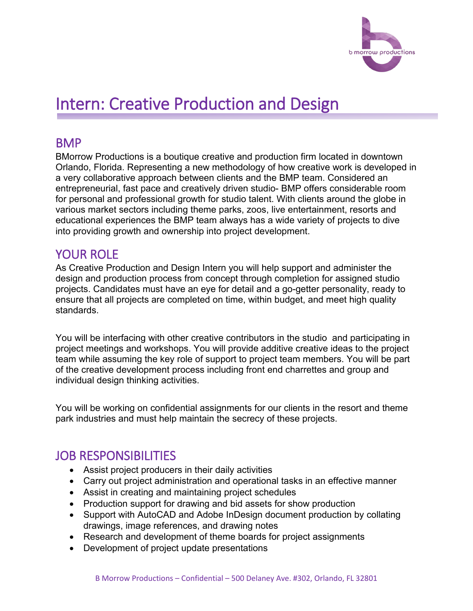

# Intern: Creative Production and Design

#### **BMP**

BMorrow Productions is a boutique creative and production firm located in downtown Orlando, Florida. Representing a new methodology of how creative work is developed in a very collaborative approach between clients and the BMP team. Considered an entrepreneurial, fast pace and creatively driven studio- BMP offers considerable room for personal and professional growth for studio talent. With clients around the globe in various market sectors including theme parks, zoos, live entertainment, resorts and educational experiences the BMP team always has a wide variety of projects to dive into providing growth and ownership into project development.

## YOUR ROLE

As Creative Production and Design Intern you will help support and administer the design and production process from concept through completion for assigned studio projects. Candidates must have an eye for detail and a go-getter personality, ready to ensure that all projects are completed on time, within budget, and meet high quality standards.

You will be interfacing with other creative contributors in the studio and participating in project meetings and workshops. You will provide additive creative ideas to the project team while assuming the key role of support to project team members. You will be part of the creative development process including front end charrettes and group and individual design thinking activities.

You will be working on confidential assignments for our clients in the resort and theme park industries and must help maintain the secrecy of these projects.

## JOB RESPONSIBILITIES

- Assist project producers in their daily activities
- Carry out project administration and operational tasks in an effective manner
- Assist in creating and maintaining project schedules
- Production support for drawing and bid assets for show production
- Support with AutoCAD and Adobe InDesign document production by collating drawings, image references, and drawing notes
- Research and development of theme boards for project assignments
- Development of project update presentations